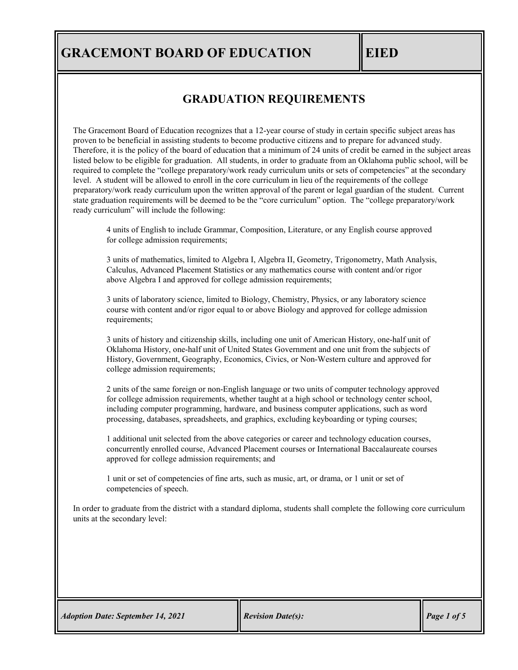# **GRADUATION REQUIREMENTS**

The Gracemont Board of Education recognizes that a 12-year course of study in certain specific subject areas has proven to be beneficial in assisting students to become productive citizens and to prepare for advanced study. Therefore, it is the policy of the board of education that a minimum of 24 units of credit be earned in the subject areas listed below to be eligible for graduation. All students, in order to graduate from an Oklahoma public school, will be required to complete the "college preparatory/work ready curriculum units or sets of competencies" at the secondary level. A student will be allowed to enroll in the core curriculum in lieu of the requirements of the college preparatory/work ready curriculum upon the written approval of the parent or legal guardian of the student. Current state graduation requirements will be deemed to be the "core curriculum" option. The "college preparatory/work ready curriculum" will include the following:

4 units of English to include Grammar, Composition, Literature, or any English course approved for college admission requirements;

3 units of mathematics, limited to Algebra I, Algebra II, Geometry, Trigonometry, Math Analysis, Calculus, Advanced Placement Statistics or any mathematics course with content and/or rigor above Algebra I and approved for college admission requirements;

3 units of laboratory science, limited to Biology, Chemistry, Physics, or any laboratory science course with content and/or rigor equal to or above Biology and approved for college admission requirements;

3 units of history and citizenship skills, including one unit of American History, one-half unit of Oklahoma History, one-half unit of United States Government and one unit from the subjects of History, Government, Geography, Economics, Civics, or Non-Western culture and approved for college admission requirements;

2 units of the same foreign or non-English language or two units of computer technology approved for college admission requirements, whether taught at a high school or technology center school, including computer programming, hardware, and business computer applications, such as word processing, databases, spreadsheets, and graphics, excluding keyboarding or typing courses;

1 additional unit selected from the above categories or career and technology education courses, concurrently enrolled course, Advanced Placement courses or International Baccalaureate courses approved for college admission requirements; and

1 unit or set of competencies of fine arts, such as music, art, or drama, or 1 unit or set of competencies of speech.

In order to graduate from the district with a standard diploma, students shall complete the following core curriculum units at the secondary level: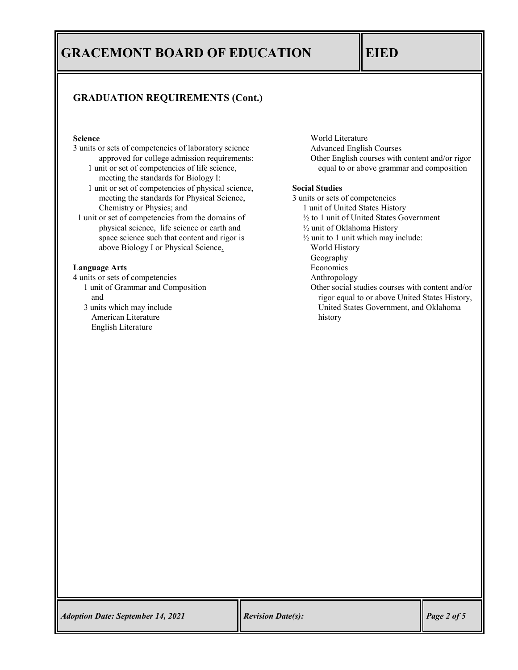## **GRADUATION REQUIREMENTS (Cont.)**

## **Science**

- 3 units or sets of competencies of laboratory science approved for college admission requirements:
	- 1 unit or set of competencies of life science, meeting the standards for Biology I:
	- 1 unit or set of competencies of physical science, meeting the standards for Physical Science, Chemistry or Physics; and
- 1 unit or set of competencies from the domains of physical science, life science or earth and space science such that content and rigor is above Biology I or Physical Science.

### **Language Arts**

- 4 units or sets of competencies
	- 1 unit of Grammar and Composition and
	- 3 units which may include American Literature English Literature

World Literature Advanced English Courses Other English courses with content and/or rigor equal to or above grammar and composition

## **Social Studies**

- 3 units or sets of competencies
	- 1 unit of United States History
	- ½ to 1 unit of United States Government
	- ½ unit of Oklahoma History
	- ½ unit to 1 unit which may include:
		- World History
		- Geography
		- Economics
	- Anthropology
	- Other social studies courses with content and/or rigor equal to or above United States History, United States Government, and Oklahoma history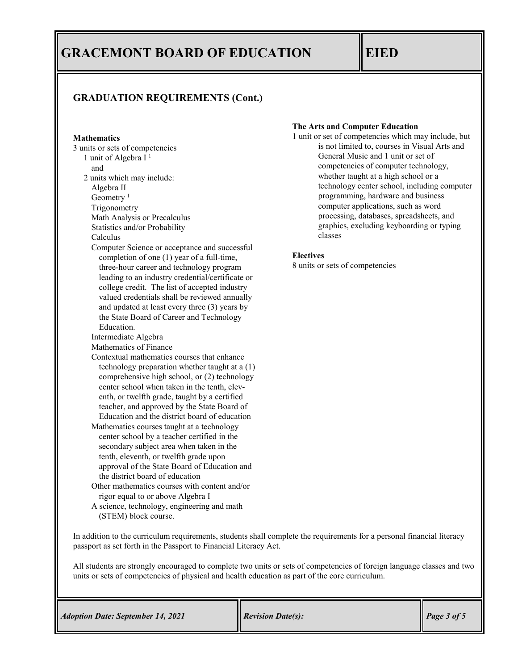## **GRADUATION REQUIREMENTS (Cont.)**

### **Mathematics**

3 units or sets of competencies 1 unit of Algebra I 1 and 2 units which may include: Algebra II Geometry<sup>1</sup> Trigonometry Math Analysis or Precalculus Statistics and/or Probability Calculus Computer Science or acceptance and successful completion of one (1) year of a full-time, three-hour career and technology program leading to an industry credential/certificate or college credit. The list of accepted industry valued credentials shall be reviewed annually and updated at least every three (3) years by the State Board of Career and Technology Education. Intermediate Algebra Mathematics of Finance Contextual mathematics courses that enhance technology preparation whether taught at a (1) comprehensive high school, or (2) technology center school when taken in the tenth, eleventh, or twelfth grade, taught by a certified teacher, and approved by the State Board of Education and the district board of education Mathematics courses taught at a technology center school by a teacher certified in the secondary subject area when taken in the tenth, eleventh, or twelfth grade upon approval of the State Board of Education and the district board of education Other mathematics courses with content and/or rigor equal to or above Algebra I A science, technology, engineering and math

(STEM) block course.

### **The Arts and Computer Education**

1 unit or set of competencies which may include, but is not limited to, courses in Visual Arts and General Music and 1 unit or set of competencies of computer technology, whether taught at a high school or a technology center school, including computer programming, hardware and business computer applications, such as word processing, databases, spreadsheets, and graphics, excluding keyboarding or typing classes

## **Electives**

8 units or sets of competencies

In addition to the curriculum requirements, students shall complete the requirements for a personal financial literacy passport as set forth in the Passport to Financial Literacy Act.

All students are strongly encouraged to complete two units or sets of competencies of foreign language classes and two units or sets of competencies of physical and health education as part of the core curriculum.

| <b>Adoption Date: September 14, 2021</b> | <b>Revision Date(s):</b> | $\vert$ Page 3 of 5 |
|------------------------------------------|--------------------------|---------------------|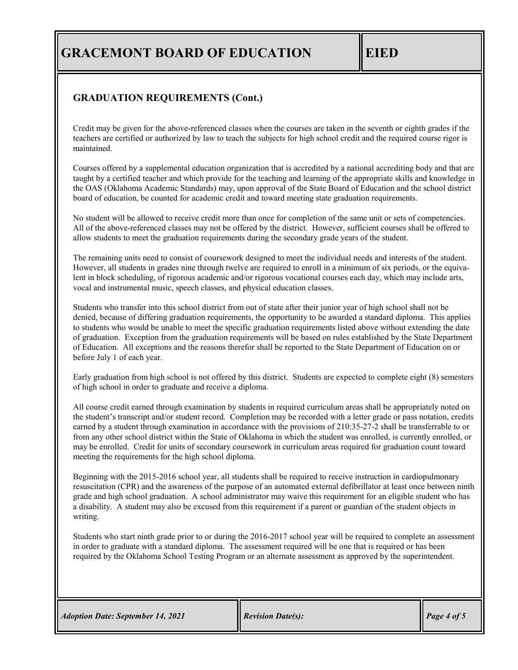## **GRADUATION REQUIREMENTS (Cont.)**

Credit may be given for the above-referenced classes when the courses are taken in the seventh or eighth grades if the teachers are certified or authorized by law to teach the subjects for high school credit and the required course rigor is maintained.

Courses offered by a supplemental education organization that is accredited by a national accrediting body and that are taught by a certified teacher and which provide for the teaching and learning of the appropriate skills and knowledge in the OAS (Oklahoma Academic Standards) may, upon approval of the State Board of Education and the school district board of education, be counted for academic credit and toward meeting state graduation requirements.

No student will be allowed to receive credit more than once for completion of the same unit or sets of competencies. All of the above-referenced classes may not be offered by the district. However, sufficient courses shall be offered to allow students to meet the graduation requirements during the secondary grade years of the student.

The remaining units need to consist of coursework designed to meet the individual needs and interests of the student. However, all students in grades nine through twelve are required to enroll in a minimum of six periods, or the equivalent in block scheduling, of rigorous academic and/or rigorous vocational courses each day, which may include arts, vocal and instrumental music, speech classes, and physical education classes.

Students who transfer into this school district from out of state after their junior year of high school shall not be denied, because of differing graduation requirements, the opportunity to be awarded a standard diploma. This applies to students who would be unable to meet the specific graduation requirements listed above without extending the date of graduation. Exception from the graduation requirements will be based on rules established by the State Department of Education. All exceptions and the reasons therefor shall be reported to the State Department of Education on or before July 1 of each year.

Early graduation from high school is not offered by this district. Students are expected to complete eight (8) semesters of high school in order to graduate and receive a diploma.

All course credit earned through examination by students in required curriculum areas shall be appropriately noted on the student's transcript and/or student record. Completion may be recorded with a letter grade or pass notation, credits earned by a student through examination in accordance with the provisions of 210:35-27-2 shall be transferrable to or from any other school district within the State of Oklahoma in which the student was enrolled, is currently enrolled, or may be enrolled. Credit for units of secondary coursework in curriculum areas required for graduation count toward meeting the requirements for the high school diploma.

Beginning with the 2015-2016 school year, all students shall be required to receive instruction in cardiopulmonary resuscitation (CPR) and the awareness of the purpose of an automated external defibrillator at least once between ninth grade and high school graduation. A school administrator may waive this requirement for an eligible student who has a disability. A student may also be excused from this requirement if a parent or guardian of the student objects in writing.

Students who start ninth grade prior to or during the 2016-2017 school year will be required to complete an assessment in order to graduate with a standard diploma. The assessment required will be one that is required or has been required by the Oklahoma School Testing Program or an alternate assessment as approved by the superintendent.